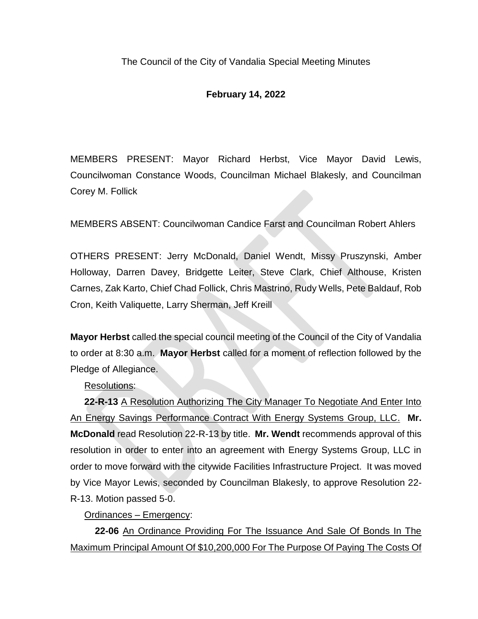## **February 14, 2022**

MEMBERS PRESENT: Mayor Richard Herbst, Vice Mayor David Lewis, Councilwoman Constance Woods, Councilman Michael Blakesly, and Councilman Corey M. Follick

MEMBERS ABSENT: Councilwoman Candice Farst and Councilman Robert Ahlers

OTHERS PRESENT: Jerry McDonald, Daniel Wendt, Missy Pruszynski, Amber Holloway, Darren Davey, Bridgette Leiter, Steve Clark, Chief Althouse, Kristen Carnes, Zak Karto, Chief Chad Follick, Chris Mastrino, Rudy Wells, Pete Baldauf, Rob Cron, Keith Valiquette, Larry Sherman, Jeff Kreill

**Mayor Herbst** called the special council meeting of the Council of the City of Vandalia to order at 8:30 a.m. **Mayor Herbst** called for a moment of reflection followed by the Pledge of Allegiance.

Resolutions:

**22-R-13** A Resolution Authorizing The City Manager To Negotiate And Enter Into An Energy Savings Performance Contract With Energy Systems Group, LLC. **Mr. McDonald** read Resolution 22-R-13 by title. **Mr. Wendt** recommends approval of this resolution in order to enter into an agreement with Energy Systems Group, LLC in order to move forward with the citywide Facilities Infrastructure Project. It was moved by Vice Mayor Lewis, seconded by Councilman Blakesly, to approve Resolution 22- R-13. Motion passed 5-0.

Ordinances – Emergency:

**22-06** An Ordinance Providing For The Issuance And Sale Of Bonds In The Maximum Principal Amount Of \$10,200,000 For The Purpose Of Paying The Costs Of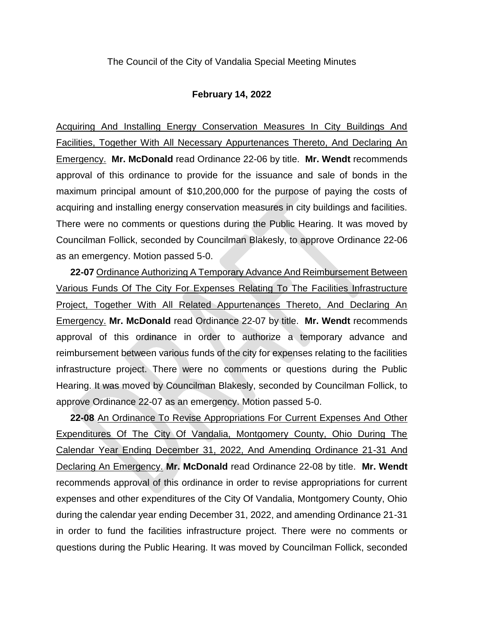## **February 14, 2022**

Acquiring And Installing Energy Conservation Measures In City Buildings And Facilities, Together With All Necessary Appurtenances Thereto, And Declaring An Emergency. **Mr. McDonald** read Ordinance 22-06 by title. **Mr. Wendt** recommends approval of this ordinance to provide for the issuance and sale of bonds in the maximum principal amount of \$10,200,000 for the purpose of paying the costs of acquiring and installing energy conservation measures in city buildings and facilities. There were no comments or questions during the Public Hearing. It was moved by Councilman Follick, seconded by Councilman Blakesly, to approve Ordinance 22-06 as an emergency. Motion passed 5-0.

**22-07** Ordinance Authorizing A Temporary Advance And Reimbursement Between Various Funds Of The City For Expenses Relating To The Facilities Infrastructure Project, Together With All Related Appurtenances Thereto, And Declaring An Emergency. **Mr. McDonald** read Ordinance 22-07 by title. **Mr. Wendt** recommends approval of this ordinance in order to authorize a temporary advance and reimbursement between various funds of the city for expenses relating to the facilities infrastructure project. There were no comments or questions during the Public Hearing. It was moved by Councilman Blakesly, seconded by Councilman Follick, to approve Ordinance 22-07 as an emergency. Motion passed 5-0.

**22-08** An Ordinance To Revise Appropriations For Current Expenses And Other Expenditures Of The City Of Vandalia, Montgomery County, Ohio During The Calendar Year Ending December 31, 2022, And Amending Ordinance 21-31 And Declaring An Emergency. **Mr. McDonald** read Ordinance 22-08 by title. **Mr. Wendt** recommends approval of this ordinance in order to revise appropriations for current expenses and other expenditures of the City Of Vandalia, Montgomery County, Ohio during the calendar year ending December 31, 2022, and amending Ordinance 21-31 in order to fund the facilities infrastructure project. There were no comments or questions during the Public Hearing. It was moved by Councilman Follick, seconded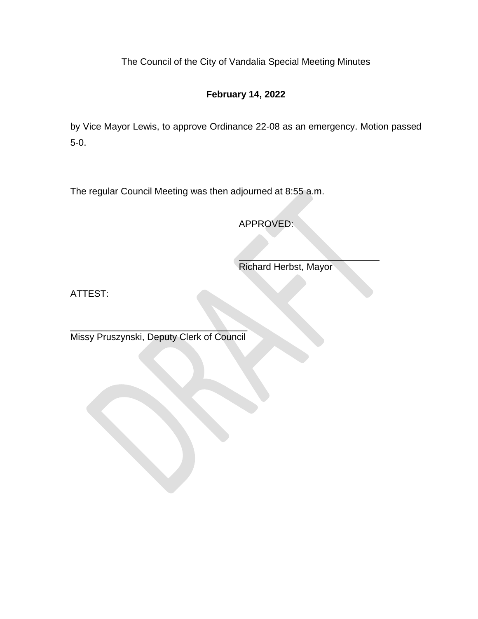## **February 14, 2022**

by Vice Mayor Lewis, to approve Ordinance 22-08 as an emergency. Motion passed 5-0.

The regular Council Meeting was then adjourned at 8:55 a.m.

APPROVED:

Richard Herbst, Mayor

ATTEST:

\_\_\_\_\_\_\_\_\_\_\_\_\_\_\_\_\_\_\_\_\_\_\_\_\_\_\_\_\_\_\_\_\_\_ Missy Pruszynski, Deputy Clerk of Council